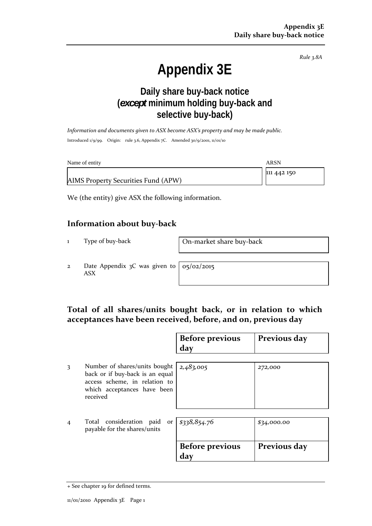*Rule 3.8A*

# **Appendix 3E**

### **Daily share buy-back notice (***except* **minimum holding buy-back and selective buy-back)**

*Information and documents given to ASX become ASX's property and may be made public.* Introduced 1/9/99. Origin: rule 3.6, Appendix 7C. Amended 30/9/2001, 11/01/10

| Name of entity                      | ARSN        |
|-------------------------------------|-------------|
|                                     | 111 442 150 |
| AIMS Property Securities Fund (APW) |             |

We (the entity) give ASX the following information.

#### **Information about buy‐back**

1 Type of buy-back **On-market share buy-back** 

2 Date Appendix 3C was given to ASX

05/02/2015

#### **Total of all shares/units bought back, or in relation to which acceptances have been received, before, and on, previous day**

|                |                                                                                                                                              | <b>Before previous</b><br>day | Previous day |
|----------------|----------------------------------------------------------------------------------------------------------------------------------------------|-------------------------------|--------------|
| 3              | Number of shares/units bought<br>back or if buy-back is an equal<br>access scheme, in relation to<br>which acceptances have been<br>received | 2,483,005                     | 272,000      |
| $\overline{4}$ | Total consideration paid or<br>payable for the shares/units                                                                                  | 8338,854.76                   | \$34,000.00  |
|                |                                                                                                                                              | <b>Before previous</b><br>day | Previous day |

<sup>+</sup> See chapter 19 for defined terms.